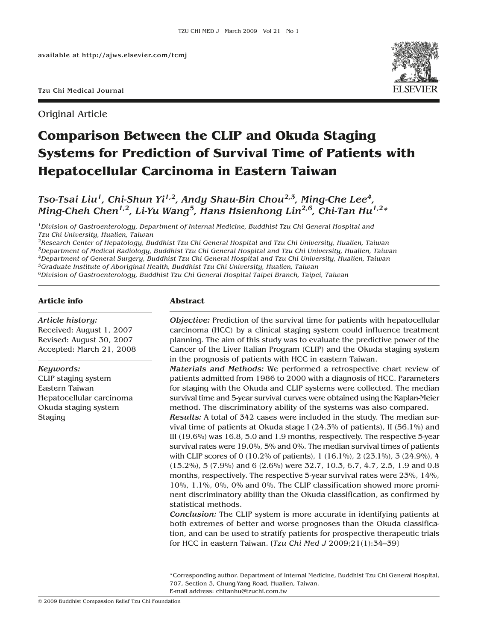Original Article



# **Comparison Between the CLIP and Okuda Staging Systems for Prediction of Survival Time of Patients with Hepatocellular Carcinoma in Eastern Taiwan**

# *Tso-Tsai Liu1, Chi-Shun Yi1,2, Andy Shau-Bin Chou2,3, Ming-Che Lee4, Ming-Cheh Chen1,2, Li-Yu Wang5, Hans Hsienhong Lin2,6, Chi-Tan Hu1,2\**

*1Division of Gastroenterology, Department of Internal Medicine, Buddhist Tzu Chi General Hospital and Tzu Chi University, Hualien, Taiwan*

*2Research Center of Hepatology, Buddhist Tzu Chi General Hospital and Tzu Chi University, Hualien, Taiwan 3Department of Medical Radiology, Buddhist Tzu Chi General Hospital and Tzu Chi University, Hualien, Taiwan 4Department of General Surgery, Buddhist Tzu Chi General Hospital and Tzu Chi University, Hualien, Taiwan 5Graduate Institute of Aboriginal Health, Buddhist Tzu Chi University, Hualien, Taiwan*

*6Division of Gastroenterology, Buddhist Tzu Chi General Hospital Taipei Branch, Taipei, Taiwan*

### **Article info**

*Article history:* Received: August 1, 2007 Revised: August 30, 2007 Accepted: March 21, 2008

#### *Keywords:*

CLIP staging system Eastern Taiwan Hepatocellular carcinoma Okuda staging system Staging

#### **Abstract**

*Objective:* Prediction of the survival time for patients with hepatocellular carcinoma (HCC) by a clinical staging system could influence treatment planning. The aim of this study was to evaluate the predictive power of the Cancer of the Liver Italian Program (CLIP) and the Okuda staging system in the prognosis of patients with HCC in eastern Taiwan.

*Materials and Methods:* We performed a retrospective chart review of patients admitted from 1986 to 2000 with a diagnosis of HCC. Parameters for staging with the Okuda and CLIP systems were collected. The median survival time and 5-year survival curves were obtained using the Kaplan-Meier method. The discriminatory ability of the systems was also compared.

*Results:* A total of 342 cases were included in the study. The median survival time of patients at Okuda stage I (24.3% of patients), II (56.1%) and III (19.6%) was 16.8, 5.0 and 1.9 months, respectively. The respective 5-year survival rates were 19.0%, 5% and 0%. The median survival times of patients with CLIP scores of 0 (10.2% of patients), 1 (16.1%), 2 (23.1%), 3 (24.9%), 4 (15.2%), 5 (7.9%) and 6 (2.6%) were 32.7, 10.3, 6.7, 4.7, 2.5, 1.9 and 0.8 months, respectively. The respective 5-year survival rates were 23%, 14%, 10%, 1.1%, 0%, 0% and 0%. The CLIP classification showed more prominent discriminatory ability than the Okuda classification, as confirmed by statistical methods.

*Conclusion:* The CLIP system is more accurate in identifying patients at both extremes of better and worse prognoses than the Okuda classification, and can be used to stratify patients for prospective therapeutic trials for HCC in eastern Taiwan. [*Tzu Chi Med J* 2009;21(1):34–39]

\*Corresponding author. Department of Internal Medicine, Buddhist Tzu Chi General Hospital, 707, Section 3, Chung-Yang Road, Hualien, Taiwan. E-mail address: chitanhu@tzuchi.com.tw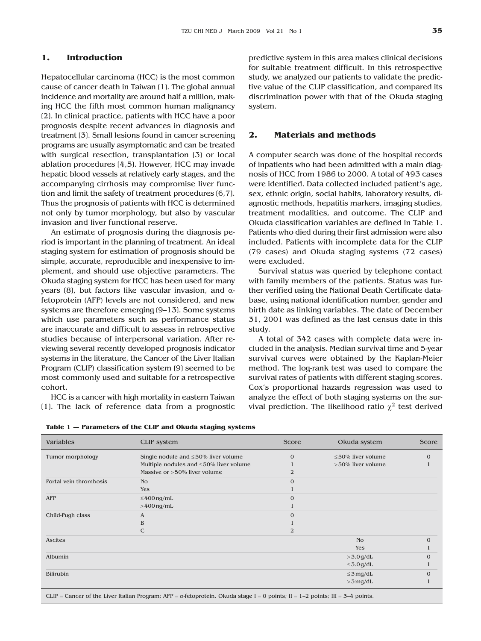#### **1. Introduction**

Hepatocellular carcinoma (HCC) is the most common cause of cancer death in Taiwan [1]. The global annual incidence and mortality are around half a million, making HCC the fifth most common human malignancy [2]. In clinical practice, patients with HCC have a poor prognosis despite recent advances in diagnosis and treatment [3]. Small lesions found in cancer screening programs are usually asymptomatic and can be treated with surgical resection, transplantation [3] or local ablation procedures [4,5]. However, HCC may invade hepatic blood vessels at relatively early stages, and the accompanying cirrhosis may compromise liver function and limit the safety of treatment procedures [6,7]. Thus the prognosis of patients with HCC is determined not only by tumor morphology, but also by vascular invasion and liver functional reserve.

An estimate of prognosis during the diagnosis period is important in the planning of treatment. An ideal staging system for estimation of prognosis should be simple, accurate, reproducible and inexpensive to implement, and should use objective parameters. The Okuda staging system for HCC has been used for many years (8), but factors like vascular invasion, and  $\alpha$ fetoprotein (AFP) levels are not considered, and new systems are therefore emerging [9–13]. Some systems which use parameters such as performance status are inaccurate and difficult to assess in retrospective studies because of interpersonal variation. After reviewing several recently developed prognosis indicator systems in the literature, the Cancer of the Liver Italian Program (CLIP) classification system [9] seemed to be most commonly used and suitable for a retrospective cohort.

HCC is a cancer with high mortality in eastern Taiwan [1]. The lack of reference data from a prognostic

predictive system in this area makes clinical decisions for suitable treatment difficult. In this retrospective study, we analyzed our patients to validate the predictive value of the CLIP classification, and compared its discrimination power with that of the Okuda staging system.

## **2. Materials and methods**

A computer search was done of the hospital records of inpatients who had been admitted with a main diagnosis of HCC from 1986 to 2000. A total of 493 cases were identified. Data collected included patient's age, sex, ethnic origin, social habits, laboratory results, diagnostic methods, hepatitis markers, imaging studies, treatment modalities, and outcome. The CLIP and Okuda classification variables are defined in Table 1. Patients who died during their first admission were also included. Patients with incomplete data for the CLIP (79 cases) and Okuda staging systems (72 cases) were excluded.

Survival status was queried by telephone contact with family members of the patients. Status was further verified using the National Death Certificate database, using national identification number, gender and birth date as linking variables. The date of December 31, 2001 was defined as the last census date in this study.

A total of 342 cases with complete data were included in the analysis. Median survival time and 5-year survival curves were obtained by the Kaplan-Meier method. The log-rank test was used to compare the survival rates of patients with different staging scores. Cox's proportional hazards regression was used to analyze the effect of both staging systems on the survival prediction. The likelihood ratio  $\chi^2$  test derived

| Variables              | CLIP system                                                                                                                           | Score    | Okuda system            | Score        |
|------------------------|---------------------------------------------------------------------------------------------------------------------------------------|----------|-------------------------|--------------|
| Tumor morphology       | Single nodule and $\leq$ 50% liver volume                                                                                             | $\Omega$ | $\leq$ 50% liver volume | $\Omega$     |
|                        | Multiple nodules and $\leq$ 50% liver volume                                                                                          |          | >50% liver volume       |              |
|                        | Massive or $>50\%$ liver volume                                                                                                       | 2        |                         |              |
| Portal vein thrombosis | No                                                                                                                                    | 0        |                         |              |
|                        | <b>Yes</b>                                                                                                                            |          |                         |              |
| <b>AFP</b>             | $\leq$ 400 ng/mL                                                                                                                      | $\Omega$ |                         |              |
|                        | $>400$ ng/mL                                                                                                                          |          |                         |              |
| Child-Pugh class       | $\overline{A}$                                                                                                                        | 0        |                         |              |
|                        | B                                                                                                                                     |          |                         |              |
|                        | C                                                                                                                                     | 2        |                         |              |
| Ascites                |                                                                                                                                       |          | No                      | $\mathbf{0}$ |
|                        |                                                                                                                                       |          | <b>Yes</b>              |              |
| Albumin                |                                                                                                                                       |          | $>3.0$ g/dL             | $\Omega$     |
|                        |                                                                                                                                       |          | $\leq 3.0$ g/dL         |              |
| Bilirubin              |                                                                                                                                       |          | $\leq$ 3 mg/dL          | $\mathbf{0}$ |
|                        |                                                                                                                                       |          | $>$ 3 mg/dL             |              |
|                        | CLIP = Cancer of the Liver Italian Program; AFP = $\alpha$ -fetoprotein. Okuda stage I = 0 points; II = 1–2 points; III = 3–4 points. |          |                         |              |

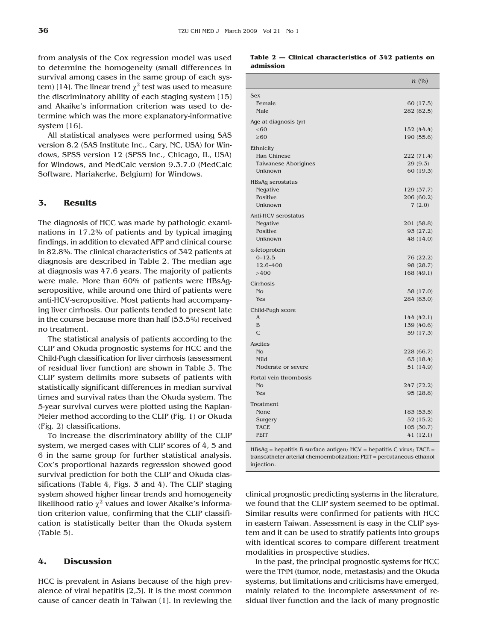from analysis of the Cox regression model was used to determine the homogeneity (small differences in survival among cases in the same group of each system) (14). The linear trend  $\chi^2$  test was used to measure the discriminatory ability of each staging system (15) and Akaike's information criterion was used to determine which was the more explanatory-informative system  $[16]$ .

All statistical analyses were performed using SAS version 8.2 (SAS Institute Inc., Cary, NC, USA) for Windows, SPSS version 12 (SPSS Inc., Chicago, IL, USA) for Windows, and MedCalc version 9.3.7.0 (MedCalc Software, Mariakerke, Belgium) for Windows.

#### **3. Results**

The diagnosis of HCC was made by pathologic examinations in 17.2% of patients and by typical imaging findings, in addition to elevated AFP and clinical course in 82.8%. The clinical characteristics of 342 patients at diagnosis are described in Table 2. The median age at diagnosis was 47.6 years. The majority of patients were male. More than 60% of patients were HBsAgseropositive, while around one third of patients were anti-HCV-seropositive. Most patients had accompanying liver cirrhosis. Our patients tended to present late in the course because more than half (53.5%) received no treatment.

The statistical analysis of patients according to the CLIP and Okuda prognostic systems for HCC and the Child-Pugh classification for liver cirrhosis (assessment of residual liver function) are shown in Table 3. The CLIP system delimits more subsets of patients with statistically significant differences in median survival times and survival rates than the Okuda system. The 5-year survival curves were plotted using the Kaplan-Meier method according to the CLIP (Fig. 1) or Okuda (Fig. 2) classifications.

To increase the discriminatory ability of the CLIP system, we merged cases with CLIP scores of 4, 5 and 6 in the same group for further statistical analysis. Cox's proportional hazards regression showed good survival prediction for both the CLIP and Okuda classifications (Table 4, Figs. 3 and 4). The CLIP staging system showed higher linear trends and homogeneity likelihood ratio  $\chi^2$  values and lower Akaike's information criterion value, confirming that the CLIP classification is statistically better than the Okuda system (Table 5).

#### **4. Discussion**

HCC is prevalent in Asians because of the high prevalence of viral hepatitis  $(2,3)$ . It is the most common cause of cancer death in Taiwan [1]. In reviewing the

#### **Table 2 — Clinical characteristics of 342 patients on admission**

|                                                             | n (%)                                              |
|-------------------------------------------------------------|----------------------------------------------------|
| <b>Sex</b><br>Female<br>Male                                | 60 (17.5)<br>282 (82.5)                            |
| Age at diagnosis (yr)<br><60<br>$\geq 60$                   | 152 (44.4)<br>190 (55.6)                           |
| Ethnicity<br>Han Chinese<br>Taiwanese Aborigines<br>Unknown | 222 (71.4)<br>29(9.3)<br>60 (19.3)                 |
| HBsAg serostatus<br>Negative<br>Positive<br>Unknown         | 129 (37.7)<br>206 (60.2)<br>7(2.0)                 |
| Anti-HCV serostatus<br>Negative<br>Positive<br>Unknown      | 201 (58.8)<br>93(27.2)<br>48 (14.0)                |
| $\alpha$ -fetoprotein<br>$0 - 12.5$<br>12.6-400<br>>400     | 76 (22.2)<br>98 (28.7)<br>168 (49.1)               |
| Cirrhosis<br>No<br><b>Yes</b>                               | 58 (17.0)<br>284 (83.0)                            |
| Child-Pugh score<br>$\overline{A}$<br>B<br>$\mathsf{C}$     | 144 (42.1)<br>139 (40.6)<br>59 (17.3)              |
| <b>Ascites</b><br>No<br>Mild<br>Moderate or severe          | 228 (66.7)<br>63(18.4)<br>51 (14.9)                |
| Portal vein thrombosis<br>No<br><b>Yes</b>                  | 247 (72.2)<br>95 (28.8)                            |
| Treatment<br>None<br>Surgery<br><b>TACE</b><br><b>PEIT</b>  | 183 (53.5)<br>52 (15.2)<br>105 (30.7)<br>41 (12.1) |

HBsAg = hepatitis B surface antigen; HCV = hepatitis C virus; TACE = transcatheter arterial chemoembolization; PEIT = percutaneous ethanol injection.

clinical prognostic predicting systems in the literature, we found that the CLIP system seemed to be optimal. Similar results were confirmed for patients with HCC in eastern Taiwan. Assessment is easy in the CLIP system and it can be used to stratify patients into groups with identical scores to compare different treatment modalities in prospective studies.

In the past, the principal prognostic systems for HCC were the TNM (tumor, node, metastasis) and the Okuda systems, but limitations and criticisms have emerged, mainly related to the incomplete assessment of residual liver function and the lack of many prognostic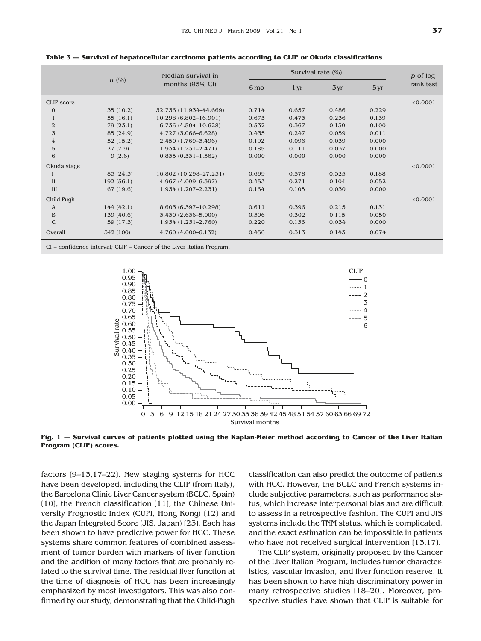|                                                                           |            | Median survival in         | Survival rate $(\% )$ |                 |       |                 | $p$ of log- |
|---------------------------------------------------------------------------|------------|----------------------------|-----------------------|-----------------|-------|-----------------|-------------|
| n (%)                                                                     |            | months $(95\% \text{ CI})$ | 6 <sub>mo</sub>       | 1 <sub>yr</sub> | 3yr   | 5 <sub>yr</sub> | rank test   |
| <b>CLIP</b> score                                                         |            |                            |                       |                 |       |                 | < 0.0001    |
| $\mathbf{O}$                                                              | 35(10.2)   | 32.736 (11.934-44.669)     | 0.714                 | 0.657           | 0.486 | 0.229           |             |
|                                                                           | 55(16.1)   | 10.298 (6.802-16.901)      | 0.673                 | 0.473           | 0.236 | 0.139           |             |
| 2                                                                         | 79(23.1)   | 6.736 (4.504-10.628)       | 0.532                 | 0.367           | 0.139 | 0.100           |             |
| $\overline{3}$                                                            | 85 (24.9)  | 4.727 (3.066-6.628)        | 0.435                 | 0.247           | 0.059 | 0.011           |             |
| 4                                                                         | 52(15.2)   | 2.450 (1.769-3.496)        | 0.192                 | 0.096           | 0.039 | 0.000           |             |
| 5                                                                         | 27(7.9)    | $1.934(1.231 - 2.471)$     | 0.185                 | 0.111           | 0.037 | 0.000           |             |
| 6                                                                         | 9(2.6)     | $0.835(0.331 - 1.562)$     | 0.000                 | 0.000           | 0.000 | 0.000           |             |
| Okuda stage                                                               |            |                            |                       |                 |       |                 | < 0.0001    |
|                                                                           | 83 (24.3)  | 16.802 (10.298-27.231)     | 0.699                 | 0.578           | 0.325 | 0.188           |             |
| $\mathbf{I}$                                                              | 192(56.1)  | 4.967 (4.099-6.397)        | 0.453                 | 0.271           | 0.104 | 0.052           |             |
| III                                                                       | 67 (19.6)  | $1.934(1.207 - 2.231)$     | 0.164                 | 0.105           | 0.030 | 0.000           |             |
| Child-Pugh                                                                |            |                            |                       |                 |       |                 | < 0.0001    |
| A                                                                         | 144(42.1)  | 8.603 (6.397-10.298)       | 0.611                 | 0.396           | 0.215 | 0.131           |             |
| B                                                                         | 139 (40.6) | 3.430 (2.636-5.000)        | 0.396                 | 0.302           | 0.115 | 0.050           |             |
| $\mathsf{C}$                                                              | 59 (17.3)  | $1.934(1.231 - 2.760)$     | 0.220                 | 0.136           | 0.034 | 0.000           |             |
| Overall                                                                   | 342 (100)  | 4.760 (4.000-6.132)        | 0.456                 | 0.313           | 0.143 | 0.074           |             |
| $CI = confidence$ interval; $CLIP = Cancer$ of the Liver Italian Program. |            |                            |                       |                 |       |                 |             |





**Fig. 1 — Survival curves of patients plotted using the Kaplan-Meier method according to Cancer of the Liver Italian Program (CLIP) scores.**

factors [9–13,17–22]. New staging systems for HCC have been developed, including the CLIP (from Italy), the Barcelona Clinic Liver Cancer system (BCLC, Spain)  $(10)$ , the French classification  $(11)$ , the Chinese University Prognostic Index (CUPI, Hong Kong) [12] and the Japan Integrated Score (JIS, Japan) [23]. Each has been shown to have predictive power for HCC. These systems share common features of combined assessment of tumor burden with markers of liver function and the addition of many factors that are probably related to the survival time. The residual liver function at the time of diagnosis of HCC has been increasingly emphasized by most investigators. This was also confirmed by our study, demonstrating that the Child-Pugh

classification can also predict the outcome of patients with HCC. However, the BCLC and French systems include subjective parameters, such as performance status, which increase interpersonal bias and are difficult to assess in a retrospective fashion. The CUPI and JIS systems include the TNM status, which is complicated, and the exact estimation can be impossible in patients who have not received surgical intervention (13,17).

The CLIP system, originally proposed by the Cancer of the Liver Italian Program, includes tumor characteristics, vascular invasion, and liver function reserve. It has been shown to have high discriminatory power in many retrospective studies [18–20]. Moreover, prospective studies have shown that CLIP is suitable for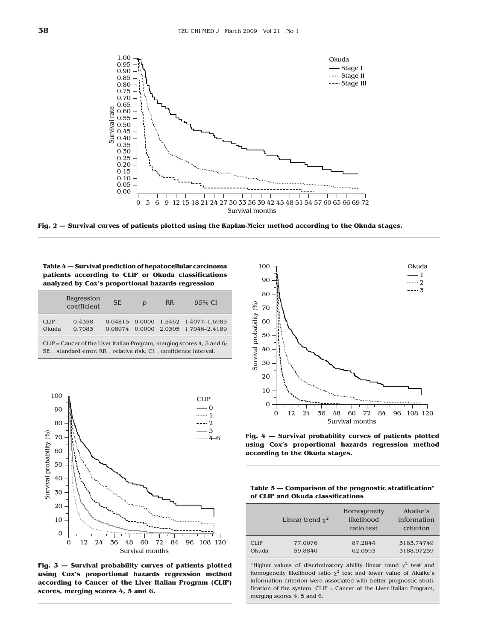

**Fig. 2 — Survival curves of patients plotted using the Kaplan-Meier method according to the Okuda stages.**

**Table 4 — Survival prediction of hepatocellular carcinoma patients according to CLIP or Okuda classifications analyzed by Cox's proportional hazards regression**

|                                                                           | Regression<br>coefficient | <b>SE</b> | D | <b>RR</b> | $95\%$ CI                                                                  |
|---------------------------------------------------------------------------|---------------------------|-----------|---|-----------|----------------------------------------------------------------------------|
| <b>CLIP</b><br>Okuda                                                      | 0.4358<br>0.7083          |           |   |           | 0.04815 0.0000 1.5462 1.4077-1.6985<br>0.08974 0.0000 2.0305 1.7046-2.4189 |
| CLIP = Cancer of the Liver Italian Program, merging scores $4$ , 5 and 6; |                           |           |   |           |                                                                            |

SE = standard error; RR = relative risk; CI = confidence interval.



**Fig. 3 — Survival probability curves of patients plotted using Cox's proportional hazards regression method according to Cancer of the Liver Italian Program (CLIP) scores, merging scores 4, 5 and 6.**



**Fig. 4 — Survival probability curves of patients plotted using Cox's proportional hazards regression method according to the Okuda stages.**

**Table 5 — Comparison of the prognostic stratification\* of CLIP and Okuda classifications**

|             | Linear trend $\chi^2$ | Homogeneity<br>likelihood<br>ratio test | Akaike's<br>information<br>criterion |
|-------------|-----------------------|-----------------------------------------|--------------------------------------|
| <b>CLIP</b> | 77.0076               | 87.2844                                 | 3163.74749                           |
| Okuda       | 59.8840               | 62.0593                                 | 3188.97259                           |

\*Higher values of discriminatory ability linear trend  $\chi^2$  test and homogeneity likelihood ratio  $\chi^2$  test and lower value of Akaike's information criterion were associated with better prognostic stratification of the system. CLIP = Cancer of the Liver Italian Program, merging scores 4, 5 and 6.